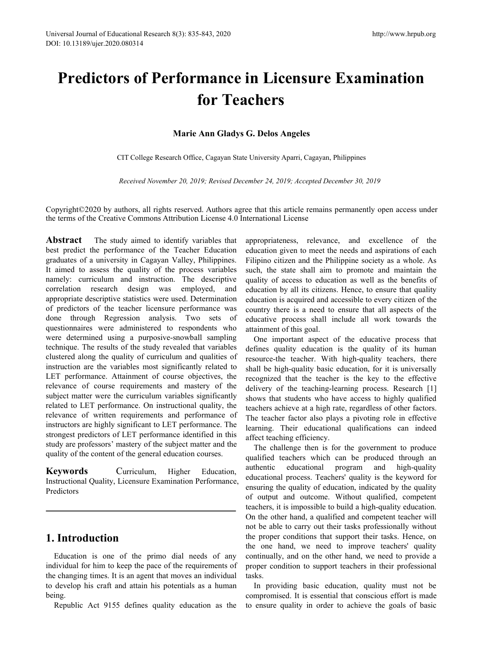# **Predictors of Performance in Licensure Examination for Teachers** <sup>8(3): 835-843, 2020<br> **Marie Ann Gladys G. Delos Angeles**<br> **Marie Ann Gladys G. Delos Angeles**<br> **Marie Ann Gladys G. Delos Angeles**<br> **Marie Ann Gladys G. Delos Angeles**<br> **Colffice, Cagayan State University Aparri, Cagayan,</sup> THEORY CONTRIGE IS CONCRETE CONTRIGHTS MARGE CONTRIGHTS MARGE APAIR CAGAYAD MARGE COLLEGE Research Office, Cagayan State University Aparri, Cagayan, Philippines Received November 20, 2019; Revised December 24, 2019; Accep**

*Received November 20, 2019; Revised December 24, 2019; Accepted December 30, 2019*

Copyright©2020 by authors, all rights reserved. Authors agree that this article remains permanently open access under the terms ofthe Creative Commons Attribution License 4.0 International License

**Abstract** The study aimed to identify variables that best predict the performance of the Teacher Education graduates of a university in Cagayan Valley, Philippines. It aimed to assess the quality of the process variables namely: curriculum and instruction. The descriptive correlation research design was employed, and appropriate descriptive statistics were used. Determination of predictors of the teacher licensure performance was done through Regression analysis. Two sets of questionnaires were administered to respondents who were determined using a purposive-snowball sampling technique. The results of the study revealed that variables clustered along the quality of curriculum and qualities of instruction are the variables most significantly related to LET performance. Attainment of course objectives, the relevance of course requirements and mastery of the subject matter were the curriculum variables significantly related to LET performance. On instructional quality, the relevance of written requirements and performance of instructors are highly significant to LET performance. The strongest predictors of LET performance identified in this study are professors' mastery of the subject matter and the quality of the content of the general education courses.

**Keywords** Curriculum, Higher Education, Instructional Quality, Licensure Examination Performance, Predictors

# **1. Introduction**

Education is one of the primo dial needs of any individual for him to keep the pace of the requirements of the changing times. It is an agent that moves an individual to develop his craft and attain his potentials as a human being.

Republic Act 9155 defines quality education as the

appropriateness, relevance, and excellence of the education given to meet the needs and aspirations of each Filipino citizen and the Philippine society as a whole. As such, the state shall aim to promote and maintain the quality of access to education as well as the benefits of education by all its citizens. Hence, to ensure that quality education is acquired and accessible to every citizen of the country there is a need to ensure that all aspects of the educative process shall include all work towards the attainment of this goal.

One important aspect of the educative process that defines quality education is the quality of its human resource-the teacher. With high-quality teachers, there shall be high-quality basic education, for it is universally recognized that the teacher is the key to the effective delivery of the teaching-learning process. Research [1] shows that students who have access to highly qualified teachers achieve at a high rate, regardless of other factors. The teacher factor also plays a pivoting role in effective learning. Their educational qualifications can indeed affect teaching efficiency.

The challenge then is for the government to produce qualified teachers which can be produced through an educational program and high-quality educational process. Teachers' quality is the keyword for ensuring the quality of education, indicated by the quality of output and outcome. Without qualified, competent teachers, it is impossible to build a high-quality education. On the other hand, a qualified and competent teacher will not be able to carry out their tasks professionally without the proper conditions that support their tasks. Hence, on the one hand, we need to improve teachers' quality continually, and on the other hand, we need to provide a proper condition to support teachers in their professional tasks.

In providing basic education, quality must not be compromised. It is essential that conscious effort is made to ensure quality in order to achieve the goals of basic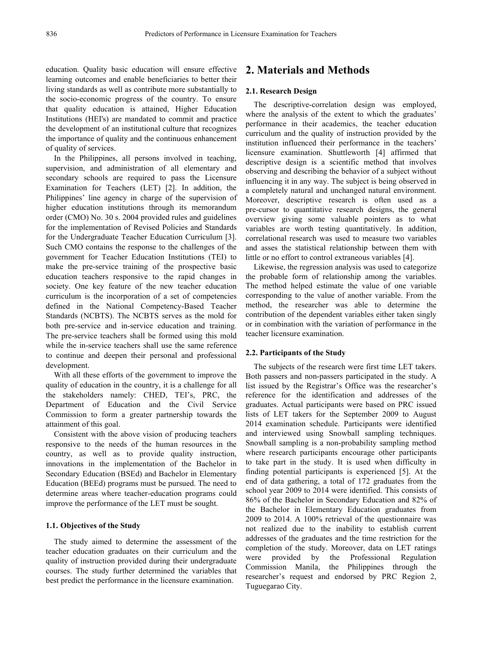education. Quality basic education will ensure effective learning outcomes and enable beneficiaries to better their living standards as well as contribute more substantially to the socio-economic progress of the country. To ensure that quality education is attained, Higher Education Institutions (HEI's) are mandated to commit and practice the development of an institutional culture that recognizes the importance of quality and the continuous enhancement of quality of services.

In the Philippines, all persons involved in teaching, supervision, and administration of all elementary and secondary schools are required to pass the Licensure Examination for Teachers (LET) [2]. In addition, the Philippines' line agency in charge of the supervision of higher education institutions through its memorandum order (CMO) No. 30 s. 2004 provided rules and guidelines for the implementation of Revised Policies and Standards for the Undergraduate Teacher Education Curriculum [3]. Such CMO contains the response to the challenges of the government for Teacher Education Institutions (TEI) to make the pre-service training of the prospective basic education teachers responsive to the rapid changes in society. One key feature of the new teacher education curriculum is the incorporation of a set of competencies defined in the National Competency-Based Teacher Standards (NCBTS). The NCBTS serves as the mold for both pre-service and in-service education and training. The pre-service teachers shall be formed using this mold while the in-service teachers shall use the same reference to continue and deepen their personal and professional development.

With all these efforts of the government to improve the quality of education in the country, it is a challenge for all the stakeholders namely: CHED, TEI's, PRC, the Department of Education and the Civil Service Commission to form a greater partnership towards the attainment of this goal.

Consistent with the above vision of producing teachers responsive to the needs of the human resources in the country, as well as to provide quality instruction, innovations in the implementation of the Bachelor in Secondary Education (BSEd) and Bachelor in Elementary Education (BEEd) programs must be pursued.The need to determine areas where teacher-education programs could improve the performance of the LET must be sought.

#### **1.1. Objectives** of the Study

The study aimed to determine the assessment of the teacher education graduates on their curriculum and the compre quality of instruction provided during their undergraduate courses. The study further determined the variables that best predict the performance in the licensure examination.

# **2. Materials and Methods**

#### **2.1. Research Design**

The descriptive-correlation design was employed, where the analysis of the extent to which the graduates' performance in their academics, the teacher education curriculum and the quality of instruction provided by the institution influenced their performance in the teachers' licensure examination. Shuttleworth [4] affirmed that descriptive design is a scientific method that involves observing and describing the behavior of a subject without influencing it in any way. The subject is being observed in a completely natural and unchanged natural environment. Moreover, descriptive research is often used as a pre-cursor to quantitative research designs, the general overview giving some valuable pointers as to what variables are worth testing quantitatively. In addition, correlational research was used to measure two variables and asses the statistical relationship between them with little or no effort to control extraneous variables [4].

Likewise, the regression analysis was used to categorize the probable form of relationship among the variables. The method helped estimate the value of one variable corresponding to the value of another variable. From the method, the researcher was able to determine the contribution of the dependent variables either taken singly or in combination with the variation of performance in the teacher licensure examination.

#### **2.2.** Participants of the Study

The subjects of the research were first time LET takers. Both passers and non-passers participated in the study. A list issued by the Registrar's Office was the researcher's reference for the identification and addresses of the graduates. Actual participants were based on PRC issued lists of LET takers for the September 2009 to August 2014 examination schedule. Participants were identified and interviewed using Snowball sampling techniques. Snowball sampling is a non-probability sampling method where research participants encourage other participants to take part in the study. It is used when difficulty in finding potential participants is experienced [5]. At the end of data gathering, a total of 172 graduates from the school year 2009 to 2014 were identified. This consists of 86% of the Bachelor in Secondary Education and 82% of the Bachelor in Elementary Education graduates from 2009 to 2014. A 100% retrieval of the questionnaire was not realized due to the inability to establish current addresses of the graduates and the time restriction for the completion of the study. Moreover, data on LET ratings provided by the Professional Regulation Commission Manila, the Philippines through the researcher's request and endorsed by PRC Region 2, Tuguegarao City.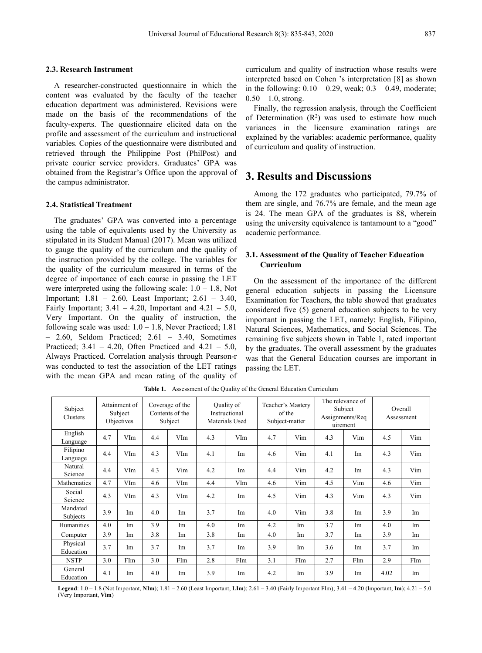#### **2.3. Research Instrument**

A researcher-constructed questionnaire in which the content was evaluated by the faculty of the teacher  $\frac{m}{0.50} - 1.0$ , strong. education department was administered. Revisions were made on the basis of the recommendations of the faculty-experts. The questionnaire elicited data on the profile and assessment of the curriculum and instructional variables. Copies of the questionnaire were distributed and retrieved through the Philippine Post (PhilPost) and private courier service providers. Graduates' GPA was obtained from the Registrar's Office upon the approval of the campus administrator.

#### **2.4. Statistical Treatment**

The graduates' GPA was converted into a percentage using the table of equivalents used by the University as stipulated in its Student Manual (2017). Mean was utilized to gauge the quality of the curriculum and the quality of the instruction provided by the college. The variables for the quality of the curriculum measured in terms of the degree of importance of each course in passing the LET were interpreted using the following scale:  $1.0 - 1.8$ , Not Important; 1.81 – 2.60, Least Important; 2.61 – 3.40, Fairly Important;  $3.41 - 4.20$ , Important and  $4.21 - 5.0$ , Very Important. On the quality of instruction, the following scale was used:  $1.0 - 1.8$ , Never Practiced; 1.81 – 2.60, Seldom Practiced; 2.61 – 3.40, Sometimes Practiced;  $3.41 - 4.20$ , Often Practiced and  $4.21 - 5.0$ , Always Practiced. Correlation analysis through Pearson-r was conducted to test the association of the LET ratings with the mean GPA and mean rating of the quality of

curriculum and quality of instruction whose results were interpreted based on Cohen 's interpretation [8] as shown in the following:  $0.10 - 0.29$ , weak;  $0.3 - 0.49$ , moderate;

Finally, the regression analysis, through the Coefficient of Determination  $(R^2)$  was used to estimate how much variances in the licensure examination ratings are explained by the variables: academic performance, quality of curriculum and quality of instruction.

# **3. Results and Discussions**

Among the 172 graduates who participated, 79.7% of them are single, and 76.7% are female, and the mean age is 24. The mean GPA of the graduates is 88, wherein using the university equivalence is tantamount to a "good" academic performance.

#### **3.1. Assessment of the Quality of Teacher Education Curriculum**

On the assessment of the importance of the different general education subjects in passing the Licensure Examination for Teachers, the table showed that graduates considered five (5) general education subjects to be very important in passing the LET, namely: English, Filipino, Natural Sciences, Mathematics, and Social Sciences. The remaining five subjects shown in Table 1, rated important by the graduates. The overall assessment by the graduates was that the General Education courses are important in passing the LET.

| Subject<br>Clusters   |     | Attainment of<br>Subject<br>Objectives |     | Coverage of the<br>Contents of the<br>Subject |     | Quality of<br>Instructional<br>Materials Used |     | Teacher's Mastery<br>of the<br>Subject-matter |     | The relevance of<br>Subject<br>Assignments/Req<br>uirement |      | Overall<br>Assessment |
|-----------------------|-----|----------------------------------------|-----|-----------------------------------------------|-----|-----------------------------------------------|-----|-----------------------------------------------|-----|------------------------------------------------------------|------|-----------------------|
| English<br>Language   | 4.7 | VIm                                    | 4.4 | VIm                                           | 4.3 | VIm                                           | 4.7 | Vim                                           | 4.3 | Vim                                                        | 4.5  | Vim                   |
| Filipino<br>Language  | 4.4 | VIm                                    | 4.3 | VIm                                           | 4.1 | Im                                            | 4.6 | Vim                                           | 4.1 | Im                                                         | 4.3  | Vim                   |
| Natural<br>Science    | 4.4 | VIm                                    | 4.3 | Vim                                           | 4.2 | Im                                            | 4.4 | Vim                                           | 4.2 | Im                                                         | 4.3  | Vim                   |
| Mathematics           | 4.7 | VIm                                    | 4.6 | VIm                                           | 4.4 | VIm                                           | 4.6 | Vim                                           | 4.5 | Vim                                                        | 4.6  | Vim                   |
| Social<br>Science     | 4.3 | VIm                                    | 4.3 | VIm                                           | 4.2 | Im                                            | 4.5 | Vim                                           | 4.3 | Vim                                                        | 4.3  | Vim                   |
| Mandated<br>Subjects  | 3.9 | Im                                     | 4.0 | Im                                            | 3.7 | Im                                            | 4.0 | Vim                                           | 3.8 | Im                                                         | 3.9  | Im                    |
| Humanities            | 4.0 | Im                                     | 3.9 | Im                                            | 4.0 | Im                                            | 4.2 | Im                                            | 3.7 | Im                                                         | 4.0  | Im                    |
| Computer              | 3.9 | Im                                     | 3.8 | Im                                            | 3.8 | Im                                            | 4.0 | Im                                            | 3.7 | Im                                                         | 3.9  | Im                    |
| Physical<br>Education | 3.7 | Im                                     | 3.7 | Im                                            | 3.7 | Im                                            | 3.9 | Im                                            | 3.6 | Im                                                         | 3.7  | Im                    |
| <b>NSTP</b>           | 3.0 | FIm                                    | 3.0 | FIm                                           | 2.8 | FIm                                           | 3.1 | FIm                                           | 2.7 | FIm                                                        | 2.9  | FIm                   |
| General<br>Education  | 4.1 | Im                                     | 4.0 | Im                                            | 3.9 | Im                                            | 4.2 | Im                                            | 3.9 | Im                                                         | 4.02 | Im                    |

**Table 1.** Assessment of the Quality of the General Education Curriculum

**Legend**: 1.0 – 1.8 (Not Important, **NIm**); 1.81 – 2.60 (Least Important, **LIm**); 2.61 – 3.40 (Fairly ImportantFIm); 3.41 – 4.20 (Important,**Im**); 4.21 – 5.0 (Very Important, **Vim**)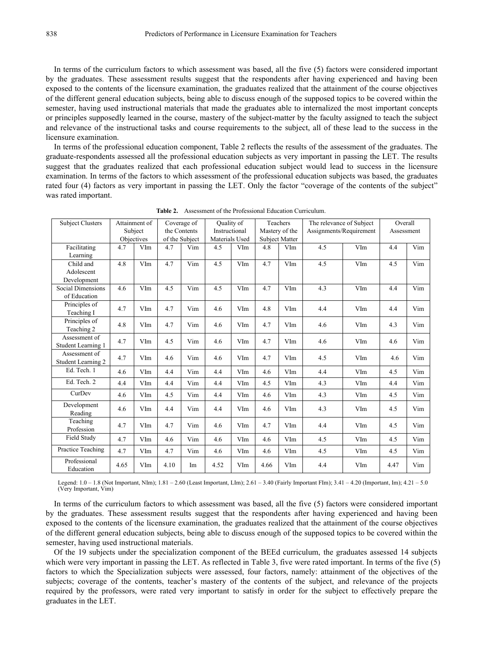In terms of the curriculum factors to which assessment was based, all the five (5) factors were considered important by the graduates. These assessment results suggest that the respondents after having experienced and having been exposed to the contents of the licensure examination, the graduates realized that the attainment of the course objectives of the different general education subjects, being able to discuss enough of the supposed topics to be covered within the semester, having used instructional materials that made the graduates able to internalized the most important concepts or principles supposedly learned in the course, mastery of the subject-matter by the faculty assigned to teach the subject and relevance of the instructional tasks and course requirements to the subject, all of these lead to the success in the licensure examination.

In terms of the professional education component, Table 2 reflects the results of the assessment of the graduates. The graduate-respondents assessed all the professional education subjects as very importantin passing the LET. The results suggest that the graduates realized that each professional education subject would lead to success in the licensure examination. In terms of the factors to which assessment of the professional education subjects was based, the graduates rated four (4) factors as very important in passing the LET. Only the factor "coverage of the contents of the subject" was rated important.

| <b>Subject Clusters</b>                  |      | Attainment of |      | Coverage of    | Quality of     |     |      | Teachers              | The relevance of Subject |     | Overall    |     |
|------------------------------------------|------|---------------|------|----------------|----------------|-----|------|-----------------------|--------------------------|-----|------------|-----|
|                                          |      | Subject       |      | the Contents   | Instructional  |     |      | Mastery of the        | Assignments/Requirement  |     | Assessment |     |
|                                          |      | Objectives    |      | of the Subject | Materials Used |     |      | <b>Subject Matter</b> |                          |     |            |     |
| Facilitating                             | 4.7  | VIm           | 4.7  | Vim            | 4.5            | VIm | 4.8  | VIm                   | 4.5                      | VIm | 4.4        | Vim |
| Learning                                 |      |               |      |                |                |     |      |                       |                          |     |            |     |
| Child and                                | 4.8  | VIm           | 4.7  | Vim            | 4.5            | VIm | 4.7  | VIm                   | 4.5                      | VIm | 4.5        | Vim |
| Adolescent                               |      |               |      |                |                |     |      |                       |                          |     |            |     |
| Development                              |      |               |      |                |                |     |      |                       |                          |     |            |     |
| <b>Social Dimensions</b><br>of Education | 4.6  | VIm           | 4.5  | Vim            | 4.5            | VIm | 4.7  | VIm                   | 4.3                      | VIm | 4.4        | Vim |
| Principles of<br>Teaching I              | 4.7  | VIm           | 4.7  | Vim            | 4.6            | VIm | 4.8  | VIm                   | 4.4                      | VIm | 4.4        | Vim |
| Principles of<br>Teaching 2              | 4.8  | VIm           | 4.7  | Vim            | 4.6            | VIm | 4.7  | VIm                   | 4.6                      | VIm | 4.3        | Vim |
| Assessment of<br>Student Learning 1      | 4.7  | VIm           | 4.5  | Vim            | 4.6            | VIm | 4.7  | VIm                   | 4.6                      | VIm | 4.6        | Vim |
| Assessment of<br>Student Learning 2      | 4.7  | VIm           | 4.6  | Vim            | 4.6            | VIm | 4.7  | VIm                   | 4.5                      | VIm | 4.6        | Vim |
| Ed. Tech. 1                              | 4.6  | VIm           | 4.4  | Vim            | 4.4            | VIm | 4.6  | VIm                   | 4.4                      | VIm | 4.5        | Vim |
| Ed. Tech. 2                              | 4.4  | VIm           | 4.4  | Vim            | 4.4            | VIm | 4.5  | VIm                   | 4.3                      | VIm | 4.4        | Vim |
| CurDev                                   | 4.6  | VIm           | 4.5  | Vim            | 4.4            | VIm | 4.6  | VIm                   | 4.3                      | VIm | 4.5        | Vim |
| Development<br>Reading                   | 4.6  | VIm           | 4.4  | Vim            | 4.4            | VIm | 4.6  | VIm                   | 4.3                      | VIm | 4.5        | Vim |
| Teaching<br>Profession                   | 4.7  | VIm           | 4.7  | Vim            | 4.6            | VIm | 4.7  | VIm                   | 4.4                      | VIm | 4.5        | Vim |
| Field Study                              | 4.7  | VIm           | 4.6  | Vim            | 4.6            | VIm | 4.6  | VIm                   | 4.5                      | VIm | 4.5        | Vim |
| Practice Teaching                        | 4.7  | VIm           | 4.7  | Vim            | 4.6            | VIm | 4.6  | VIm                   | 4.5                      | VIm | 4.5        | Vim |
| Professional<br>Education                | 4.65 | VIm           | 4.10 | Im             | 4.52           | VIm | 4.66 | VIm                   | 4.4                      | VIm | 4.47       | Vim |

**Table 2.** Assessment of the Professional Education Curriculum.

Legend: 1.0 – 1.8 (Not Important, NIm); 1.81 – 2.60 (Least Important, LIm); 2.61 – 3.40 (Fairly ImportantFIm); 3.41 – 4.20 (Important, Im); 4.21 – 5.0 (Very Important, Vim)

In terms of the curriculum factors to which assessment was based, all the five (5) factors were considered important by the graduates. These assessment results suggest that the respondents after having experienced and having been exposed to the contents of the licensure examination, the graduates realized that the attainment of the course objectives of the different general education subjects, being able to discuss enough of the supposed topics to be covered within the semester, having used instructional materials.

Of the 19 subjects under the specialization component of the BEEd curriculum, the graduates assessed 14 subjects which were very important in passing the LET. As reflected in Table 3, five were rated important. In terms of the five (5) factors to which the Specialization subjects were assessed, four factors, namely: attainment of the objectives of the subjects; coverage of the contents, teacher's mastery of the contents of the subject, and relevance of the projects required by the professors, were rated very important to satisfy in order for the subject to effectively prepare the graduates in the LET.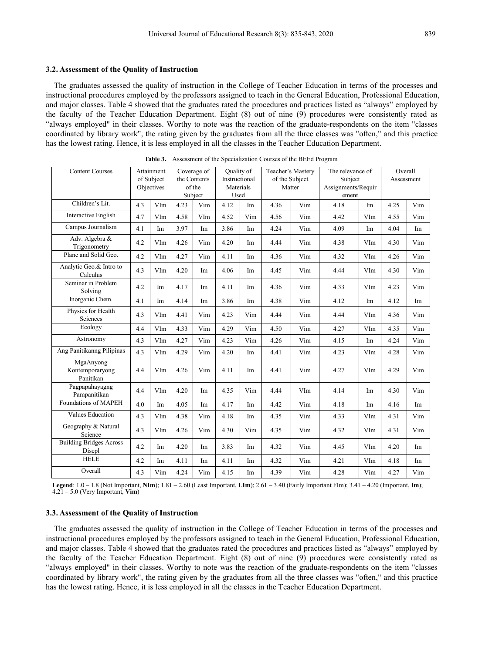#### **3.2. Assessment of the Quality of Instruction**

The graduates assessed the quality of instruction in the College of Teacher Education in terms of the processes and instructional procedures employed by the professors assigned to teach in the General Education, Professional Education, and major classes. Table 4 showed that the graduates rated the procedures and practices listed as "always" employed by the faculty of the Teacher Education Department. Eight (8) out of nine (9) procedures were consistently rated as "always employed" in their classes. Worthy to note was the reaction of the graduate-respondents on the item "classes coordinated by library work", the rating given by the graduates from all the three classes was "often," and this practice has the lowest rating. Hence, it is less employed in all the classes in the Teacher Education Department.

|                                           |     |                          |                   |              |                   |            |        |                   | The relevance of   |     |      | Overall    |
|-------------------------------------------|-----|--------------------------|-------------------|--------------|-------------------|------------|--------|-------------------|--------------------|-----|------|------------|
| <b>Content Courses</b>                    |     | Attainment               |                   | Coverage of  |                   | Quality of |        | Teacher's Mastery |                    |     |      |            |
|                                           |     | of Subject<br>Objectives |                   | the Contents | Instructional     |            |        | of the Subject    | Subject            |     |      | Assessment |
|                                           |     |                          | of the<br>Subject |              | Materials<br>Used |            | Matter |                   | Assignments/Requir |     |      |            |
|                                           |     |                          |                   |              |                   |            |        |                   | ement              |     |      |            |
| Children's Lit.                           | 4.3 | VIm                      | 4.23              | Vim          | 4.12              | Im         | 4.36   | Vim               | 4.18               | Im  | 4.25 | Vim        |
| Interactive English                       | 4.7 | VIm                      | 4.58              | VIm          | 4.52              | Vim        | 4.56   | Vim               | 4.42               | VIm | 4.55 | Vim        |
| Campus Journalism                         | 4.1 | Im                       | 3.97              | Im           | 3.86              | Im         | 4.24   | Vim               | 4.09               | Im  | 4.04 | Im         |
| Adv. Algebra &<br>Trigonometry            | 4.2 | VIm                      | 4.26              | Vim          | 4.20              | Im         | 4.44   | Vim               | 4.38               | VIm | 4.30 | Vim        |
| Plane and Solid Geo.                      | 4.2 | VIm                      | 4.27              | Vim          | 4.11              | Im         | 4.36   | Vim               | 4.32               | VIm | 4.26 | Vim        |
| Analytic Geo.& Intro to<br>Calculus       | 4.3 | VIm                      | 4.20              | Im           | 4.06              | Im         | 4.45   | Vim               | 4.44               | VIm | 4.30 | Vim        |
| Seminar in Problem<br>Solving             | 4.2 | Im                       | 4.17              | Im           | 4.11              | Im         | 4.36   | Vim               | 4.33               | VIm | 4.23 | Vim        |
| Inorganic Chem.                           | 4.1 | Im                       | 4.14              | Im           | 3.86              | Im         | 4.38   | Vim               | 4.12               | Im  | 4.12 | Im         |
| Physics for Health<br>Sciences            | 4.3 | VIm                      | 4.41              | Vim          | 4.23              | Vim        | 4.44   | Vim               | 4.44               | VIm | 4.36 | Vim        |
| Ecology                                   | 4.4 | VIm                      | 4.33              | Vim          | 4.29              | Vim        | 4.50   | Vim               | 4.27               | VIm | 4.35 | Vim        |
| Astronomy                                 | 4.3 | VIm                      | 4.27              | Vim          | 4.23              | Vim        | 4.26   | Vim               | 4.15               | Im  | 4.24 | Vim        |
| Ang Panitikanng Pilipinas                 | 4.3 | VIm                      | 4.29              | Vim          | 4.20              | Im         | 4.41   | Vim               | 4.23               | VIm | 4.28 | Vim        |
| MgaAnyong<br>Kontemporaryong<br>Panitikan | 4.4 | VIm                      | 4.26              | Vim          | 4.11              | Im         | 4.41   | Vim               | 4.27               | VIm | 4.29 | Vim        |
| Pagpapahayagng<br>Pampanitikan            | 4.4 | VIm                      | 4.20              | Im           | 4.35              | Vim        | 4.44   | VIm               | 4.14               | Im  | 4.30 | Vim        |
| <b>Foundations of MAPEH</b>               | 4.0 | Im                       | 4.05              | Im           | 4.17              | Im         | 4.42   | Vim               | 4.18               | Im  | 4.16 | Im         |
| Values Education                          | 4.3 | VIm                      | 4.38              | Vim          | 4.18              | Im         | 4.35   | Vim               | 4.33               | VIm | 4.31 | Vim        |
| Geography & Natural<br>Science            | 4.3 | VIm                      | 4.26              | Vim          | 4.30              | Vim        | 4.35   | Vim               | 4.32               | VIm | 4.31 | Vim        |
| <b>Building Bridges Across</b><br>Discpl  | 4.2 | Im                       | 4.20              | Im           | 3.83              | Im         | 4.32   | Vim               | 4.45               | VIm | 4.20 | Im         |
| <b>HELE</b>                               | 4.2 | Im                       | 4.11              | Im           | 4.11              | Im         | 4.32   | Vim               | 4.21               | VIm | 4.18 | Im         |
| Overall                                   | 4.3 | Vim                      | 4.24              | Vim          | 4.15              | Im         | 4.39   | Vim               | 4.28               | Vim | 4.27 | Vim        |

**Table 3.** Assessment of the Specialization Courses of the BEEd Program

**Legend**: 1.0 – 1.8 (NotImportant, **NIm**); 1.81 – 2.60 (Least Important, **LIm**); 2.61 – 3.40 (Fairly Important FIm); 3.41 – 4.20 (Important, **Im**); 4.21 – 5.0 (Very Important, **Vim**)

#### **3.3. Assessment of the Quality of Instruction**

The graduates assessed the quality of instruction in the College of Teacher Education in terms of the processes and instructional procedures employed by the professors assigned to teach in the General Education, Professional Education, and major classes. Table 4 showed that the graduates rated the procedures and practices listed as "always" employed by the faculty of the Teacher Education Department. Eight (8) out of nine (9) procedures were consistently rated as "always employed" in their classes. Worthy to note was the reaction of the graduate-respondents on the item "classes coordinated by library work", the rating given by the graduates from all the three classes was "often," and this practice has the lowest rating. Hence, it is less employed in all the classes in the Teacher Education Department.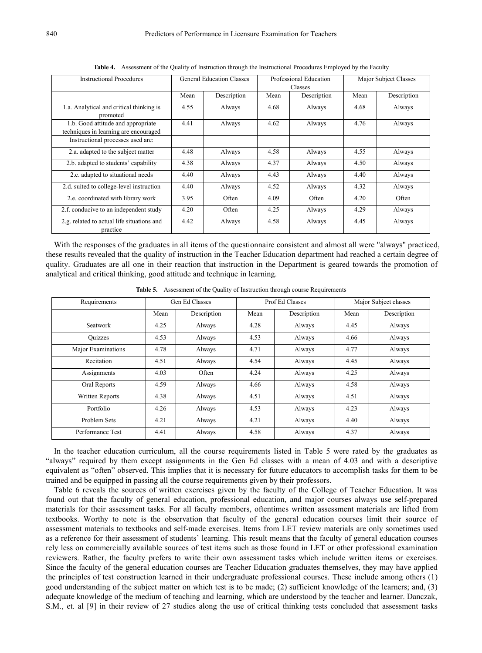| <b>Instructional Procedures</b>                                             |      | <b>General Education Classes</b> |      | Professional Education<br>Classes | Major Subject Classes |             |  |
|-----------------------------------------------------------------------------|------|----------------------------------|------|-----------------------------------|-----------------------|-------------|--|
|                                                                             | Mean | Description                      | Mean | Description                       | Mean                  | Description |  |
| 1.a. Analytical and critical thinking is<br>promoted                        | 4.55 | Always                           | 4.68 | Always                            | 4.68                  | Always      |  |
| 1.b. Good attitude and appropriate<br>techniques in learning are encouraged | 4.41 | Always                           | 4.62 | Always                            | 4.76                  | Always      |  |
| Instructional processes used are:                                           |      |                                  |      |                                   |                       |             |  |
| 2.a. adapted to the subject matter                                          | 4.48 | Always                           | 4.58 | Always                            | 4.55                  | Always      |  |
| 2.b. adapted to students' capability                                        | 4.38 | Always                           | 4.37 | Always                            | 4.50                  | Always      |  |
| 2.c. adapted to situational needs                                           | 4.40 | Always                           | 4.43 | Always                            | 4.40                  | Always      |  |
| 2.d. suited to college-level instruction                                    | 4.40 | Always                           | 4.52 | Always                            | 4.32                  | Always      |  |
| 2.e. coordinated with library work                                          | 3.95 | Often                            | 4.09 | Often                             | 4.20                  | Often       |  |
| 2.f. conducive to an independent study                                      | 4.20 | Often                            | 4.25 | Always                            | 4.29                  | Always      |  |
| 2.g. related to actual life situations and<br>practice                      | 4.42 | Always                           | 4.58 | Always                            | 4.45                  | Always      |  |

**Table 4.** Assessment of the Quality of Instruction through the Instructional Procedures Employed by the Faculty

With the responses of the graduates in all items of the questionnaire consistent and almost all were "always" practiced, these results revealed that the quality of instruction in the Teacher Education department had reached a certain degree of quality. Graduates are all one in their reaction that instruction in the Department is geared towards the promotion of analytical and critical thinking, good attitude and technique in learning.

| Requirements       |      | Gen Ed Classes |      | Prof Ed Classes | Major Subject classes |             |  |
|--------------------|------|----------------|------|-----------------|-----------------------|-------------|--|
|                    | Mean | Description    | Mean | Description     | Mean                  | Description |  |
| Seatwork           | 4.25 | Always         | 4.28 | Always          | 4.45                  | Always      |  |
| <b>Ouizzes</b>     | 4.53 | Always         | 4.53 | Always          | 4.66                  | Always      |  |
| Major Examinations | 4.78 | Always         | 4.71 | Always          | 4.77                  | Always      |  |
| Recitation         | 4.51 | Always         | 4.54 | Always          | 4.45                  | Always      |  |
| Assignments        | 4.03 | Often          | 4.24 | Always          | 4.25                  | Always      |  |
| Oral Reports       | 4.59 | Always         | 4.66 | Always          | 4.58                  | Always      |  |
| Written Reports    | 4.38 | Always         | 4.51 | Always          | 4.51                  | Always      |  |
| Portfolio          | 4.26 | Always         | 4.53 | Always          | 4.23                  | Always      |  |
| Problem Sets       | 4.21 | Always         | 4.21 | Always          | 4.40                  | Always      |  |
| Performance Test   | 4.41 | Always         | 4.58 | Always          | 4.37                  | Always      |  |

**Table 5.** Assessment of the Quality of Instruction through course Requirements

In the teacher education curriculum, all the course requirements listed in Table 5 were rated by the graduates as "always" required by them except assignments in the Gen Ed classes with a mean of 4.03 and with a descriptive equivalent as "often" observed. This implies that it is necessary for future educators to accomplish tasks for them to be trained and be equipped in passing all the course requirements given by their professors.

Table 6 reveals the sources of written exercises given by the faculty of the College of Teacher Education. It was found out that the faculty of general education, professional education, and major courses always use self-prepared materials for their assessment tasks. For all faculty members, oftentimes written assessment materials are lifted from textbooks. Worthy to note is the observation that faculty of the general education courses limit their source of assessment materials to textbooks and self-made exercises. Items from LET review materials are only sometimes used as a reference for their assessment of students' learning. This result means that the faculty of general education courses rely less on commercially available sources of test items such as those found in LET or other professional examination reviewers. Rather, the faculty prefers to write their own assessment tasks which include written items or exercises. Since the faculty of the general education courses are Teacher Education graduates themselves, they may have applied the principles of test construction learned in their undergraduate professional courses. These include among others (1) good understanding of the subject matter on which test is to be made; (2) sufficient knowledge of the learners; and, (3) adequate knowledge of the medium of teaching and learning, which are understood by the teacher and learner. Danczak, S.M., et. al [9] in their review of 27 studies along the use of critical thinking tests concluded that assessment tasks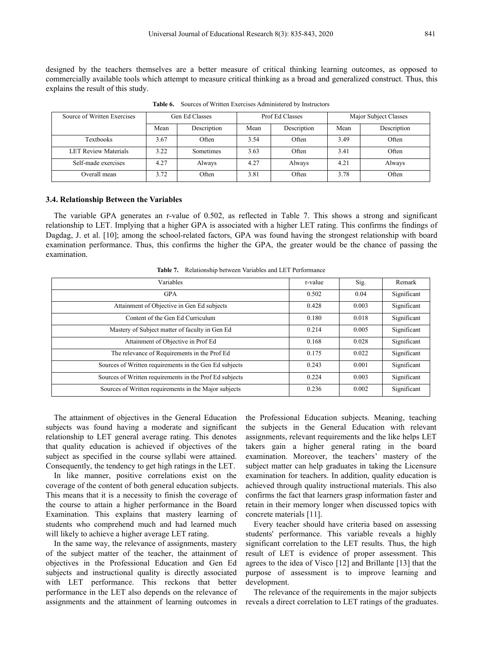designed by the teachers themselves are a better measure of critical thinking learning outcomes, as opposed to commercially available tools which attempt to measure critical thinking as a broad and generalized construct. Thus, this explains the result of this study.

| Source of Written Exercises | Gen Ed Classes |             |      | Prof Ed Classes | Major Subject Classes |             |  |
|-----------------------------|----------------|-------------|------|-----------------|-----------------------|-------------|--|
|                             | Mean           | Description | Mean | Description     | Mean                  | Description |  |
| Textbooks                   | 3.67           | Often       | 3.54 | Often           | 3.49                  | Often       |  |
| <b>LET Review Materials</b> | 3.22           | Sometimes   | 3.63 | Often           | 3.41                  | Often       |  |
| Self-made exercises         | 4.27           | Always      | 4.27 | Always          | 4.21                  | Always      |  |
| Overall mean                | 3.72           | Often       | 3.81 | Often           | 3.78                  | Often       |  |

Table **6.** Sources of Written Exercises Administered by Instructors

#### **3.4. Relationship Between the Variables**

The variable GPA generates an r-value of 0.502, as reflected in Table 7. This shows a strong and significant relationship to LET. Implying that a higher GPA is associated with a higher LET rating. This confirms the findings of Dagdag, J. et al. [10]; among the school-related factors, GPA was found having the strongest relationship with board examination performance. Thus, this confirms the higher the GPA, the greater would be the chance of passing the examination.

**Table 7.** Relationship between Variables and LET Performance

| Variables                                               | r-value | Sig.  | Remark      |
|---------------------------------------------------------|---------|-------|-------------|
| <b>GPA</b>                                              | 0.502   | 0.04  | Significant |
| Attainment of Objective in Gen Ed subjects              | 0.428   | 0.003 | Significant |
| Content of the Gen Ed Curriculum                        | 0.180   | 0.018 | Significant |
| Mastery of Subject matter of faculty in Gen Ed          | 0.214   | 0.005 | Significant |
| Attainment of Objective in Prof Ed                      | 0.168   | 0.028 | Significant |
| The relevance of Requirements in the Prof Ed            | 0.175   | 0.022 | Significant |
| Sources of Written requirements in the Gen Ed subjects  | 0.243   | 0.001 | Significant |
| Sources of Written requirements in the Prof Ed subjects | 0.224   | 0.003 | Significant |
| Sources of Written requirements in the Major subjects   | 0.236   | 0.002 | Significant |

The attainment of objectives in the General Education subjects was found having a moderate and significant relationship to LET general average rating. This denotes that quality education is achieved if objectives of the subject as specified in the course syllabi were attained. Consequently, the tendency to get high ratings in the LET.

In like manner, positive correlations exist on the coverage of the content of both general education subjects. This means that it is a necessity to finish the coverage of the course to attain a higher performance in the Board Examination. This explains that mastery learning of students who comprehend much and had learned much will likely to achieve a higher average LET rating.

In the same way, the relevance of assignments, mastery of the subject matter of the teacher, the attainment of objectives in the Professional Education and Gen Ed subjects and instructional quality is directly associated with LET performance. This reckons that better performance in the LET also depends on the relevance of assignments and the attainment of learning outcomes in the Professional Education subjects. Meaning, teaching the subjects in the General Education with relevant assignments, relevant requirements and the like helps LET takers gain a higher general rating in the board examination. Moreover, the teachers' mastery of the subject matter can help graduates in taking the Licensure examination for teachers. In addition, quality education is achieved through quality instructional materials. This also confirms the fact that learners grasp information faster and retain in their memory longer when discussed topics with concrete materials [11].

Every teacher should have criteria based on assessing students' performance. This variable reveals a highly significant correlation to the LET results. Thus, the high result of LET is evidence of proper assessment. This agrees to the idea of Visco [12] and Brillante [13] that the purpose of assessment is to improve learning and development.

The relevance of the requirements in the major subjects reveals a direct correlation to LET ratings of the graduates.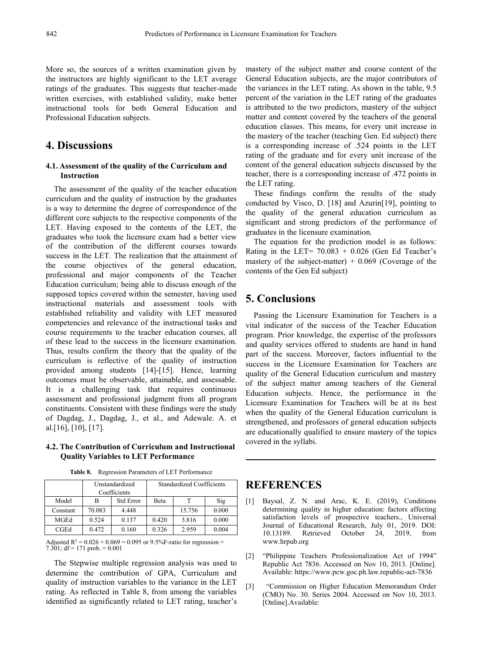More so, the sources of a written examination given by the instructors are highly significant to the LET average ratings of the graduates. This suggests that teacher-made written exercises, with established validity, make better instructional tools for both General Education and Professional Education subjects.

# **4. Discussions**

#### **4.1. Assessment of the quality of the Curriculum and Instruction**

The assessment of the quality of the teacher education curriculum and the quality of instruction by the graduates is a way to determine the degree of correspondence of the different core subjects to the respective components of the LET. Having exposed to the contents of the LET, the graduates who took the licensure exam had a better view of the contribution of the different courses towards success in the LET. The realization that the attainment of the course objectives of the general education, professional and major components of the Teacher Education curriculum; being able to discuss enough of the supposed topics covered within the semester, having used instructional materials and assessment tools with established reliability and validity with LET measured competencies and relevance of the instructional tasks and course requirements to the teacher education courses, all of these lead to the success in the licensure examination. Thus, results confirm the theory that the quality of the curriculum is reflective of the quality of instruction provided among students [14]-[15]. Hence, learning outcomes must be observable, attainable, and assessable.It is <sup>a</sup> challenging task that requires continuous assessment and professional judgment from all program constituents. Consistent with these findings were the study of Dagdag, J., Dagdag, J., et al., and Adewale. A. et al.[16], [10], [17].

#### **4.2. The Contribution of Curriculum and Instructional Quality Variables to LET Performance**

| <b>Table 8.</b> Regression Parameters of LET Performance |  |
|----------------------------------------------------------|--|
|----------------------------------------------------------|--|

|             |        | Unstandardized<br>Coefficients |       | <b>Standardized Coefficients</b> | <b>REFERE</b> |                      |
|-------------|--------|--------------------------------|-------|----------------------------------|---------------|----------------------|
| Model       |        | <b>Std Error</b>               | Beta  |                                  | Sig           | Baysal.              |
| Constant    | 70.083 | 4.448                          |       | 15.756                           | 0.000         | determini            |
| MGEd        | 0.524  | 0.137                          | 0.420 | 3.816                            | 0.000         | satisfactio          |
| <b>CGEd</b> | 0.472  | 0.160                          | 0.326 | 2.959                            | 0.004         | Journal o<br>1012190 |

Adjusted R<sup>2</sup> =  $0.026 + 0.069 = 0.095$  or 9.5%F-ratio for regression = 7.301; df = 171 prob. =  $0.001$ 

The Stepwise multiple regression analysis was used to determine the contribution of GPA, Curriculum and quality of instruction variables to the variance in the LET  $_{[3]}$ rating. As reflected in Table 8, from among the variables identified as significantly related to LET rating, teacher's

mastery of the subject matter and course content of the General Education subjects, are the major contributors of the variances in the LET rating. As shown in the table, 9.5 percent of the variation in the LET rating of the graduates is attributed to the two predictors, mastery of the subject matter and content covered by the teachers of the general education classes. This means, for every unit increase in the mastery of the teacher (teaching Gen. Ed subject) there is a corresponding increase of .524 points in the LET rating of the graduate and for every unit increase of the content of the general education subjects discussed by the teacher, there is a corresponding increase of .472 points in the LET rating.

These findings confirm the results of the study conducted by Visco, D. [18] and Azurin[19], pointing to the quality of the general education curriculum as significant and strong predictors of the performance of graduates in the licensure examination.

The equation for the prediction model is as follows: Rating in the LET=  $70.083 + 0.026$  (Gen Ed Teacher's mastery of the subject-matter)  $+ 0.069$  (Coverage of the contents of the Gen Ed subject)

# **5. Conclusions**

Passing the Licensure Examination for Teachers is a vital indicator of the success of the Teacher Education program. Prior knowledge, the expertise of the professors and quality services offered to students are hand in hand part of the success.Moreover, factors influential to the success in the Licensure Examination for Teachers are quality of the General Education curriculum and mastery of the subject matter among teachers of the General Education subjects. Hence, the performance in the Licensure Examination for Teachers will be at its best when the quality of the General Education curriculum is strengthened, and professors of general education subjects are educationally qualified to ensure mastery of the topics covered in the syllabi.

### **REFERENCES**

- Model  $\vert$  B  $\vert$  Std Error  $\vert$  Beta  $\vert$  T  $\vert$  Sig  $\vert$  [1] Baysal, Z. N. and Arac, K. E. (2019), Conditions determining quality in higher education: factors affecting satisfaction levels of prospective teachers., Universal Journal of Educational Research, July 01, 2019. DOI: Retrieved October 24, 2019, from www.hrpub.org
	- [2] "Philippine Teachers Professionalization Act of 1994" Republic Act 7836. Accessed on Nov 10, 2013. [Online]. Available: https://www.pcw.goc.ph.law.republic-act-7836
	- "Commission on Higher Education Memorandum Order (CMO) No. 30. Series 2004.Accessed on Nov 10, 2013. [Online].Available: